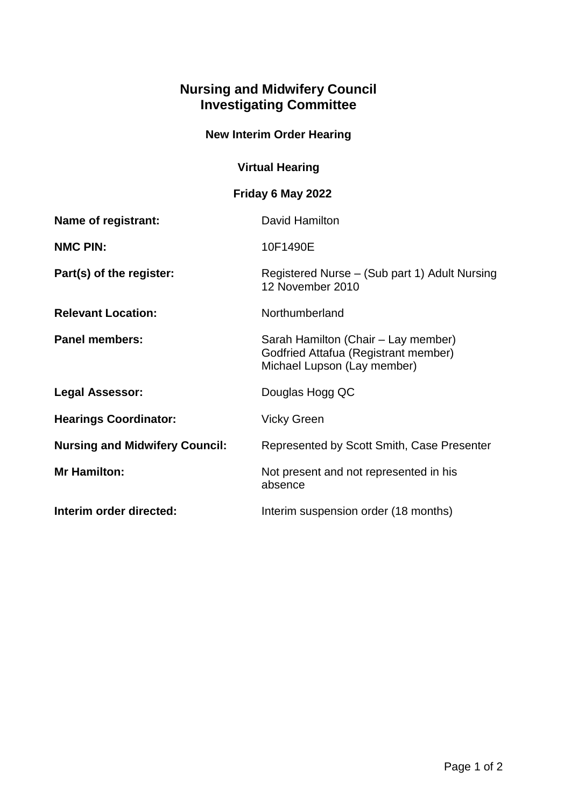## **Nursing and Midwifery Council Investigating Committee**

## **New Interim Order Hearing**

## **Virtual Hearing**

## **Friday 6 May 2022**

| Name of registrant:                   | David Hamilton                                                                                             |
|---------------------------------------|------------------------------------------------------------------------------------------------------------|
| <b>NMC PIN:</b>                       | 10F1490E                                                                                                   |
| Part(s) of the register:              | Registered Nurse – (Sub part 1) Adult Nursing<br>12 November 2010                                          |
| <b>Relevant Location:</b>             | Northumberland                                                                                             |
| <b>Panel members:</b>                 | Sarah Hamilton (Chair – Lay member)<br>Godfried Attafua (Registrant member)<br>Michael Lupson (Lay member) |
| Legal Assessor:                       | Douglas Hogg QC                                                                                            |
| <b>Hearings Coordinator:</b>          | <b>Vicky Green</b>                                                                                         |
| <b>Nursing and Midwifery Council:</b> | Represented by Scott Smith, Case Presenter                                                                 |
| <b>Mr Hamilton:</b>                   | Not present and not represented in his<br>absence                                                          |
| Interim order directed:               | Interim suspension order (18 months)                                                                       |